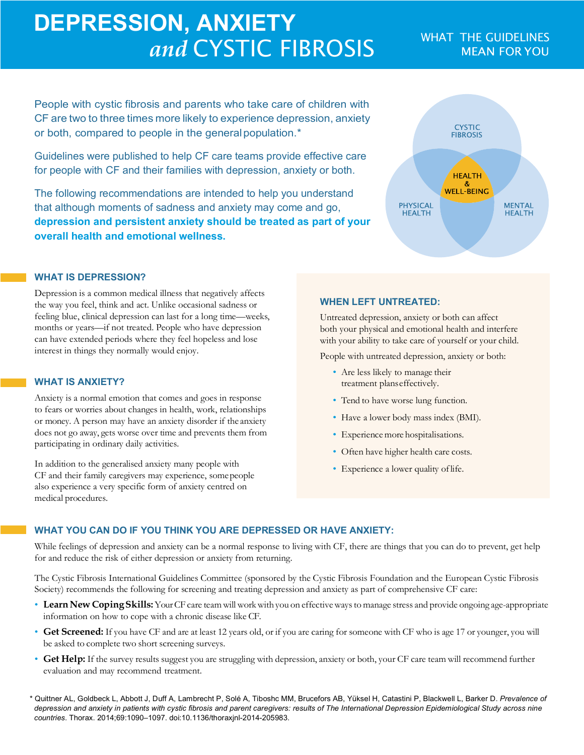# **DEPRESSION, ANXIETY and CYSTIC FIBROSIS** WHAT THE GUIDELINES

People with cystic fibrosis and parents who take care of children with CF are two to three times more likely to experience depression, anxiety or both, compared to people in the generalpopulation.\*

Guidelines were published to help CF care teams provide effective care for people with CF and their families with depression, anxiety or both.

The following recommendations are intended to help you understand that although moments of sadness and anxiety may come and go, **depression and persistent anxiety should be treated as part of your overall health and emotional wellness.**

## **CYSTIC**<br>FIBROSIS **HEALTH WELL-BEING PHYSICAL MENTAL HEALTH HEALTH**

#### **WHAT IS DEPRESSION?**

Depression is a common medical illness that negatively affects the way you feel, think and act. Unlike occasional sadness or feeling blue, clinical depression can last for a long time—weeks, months or years—if not treated. People who have depression can have extended periods where they feel hopeless and lose interest in things they normally would enjoy.

#### **WHAT IS ANXIETY?**

Anxiety is a normal emotion that comes and goes in response to fears or worries about changes in health, work, relationships or money. A person may have an anxiety disorder if the anxiety does not go away, gets worse over time and prevents them from participating in ordinary daily activities.

In addition to the generalised anxiety many people with CF and their family caregivers may experience, somepeople also experience a very specific form of anxiety centred on medical procedures.

#### **WHEN LEFT UNTREATED:**

Untreated depression, anxiety or both can affect both your physical and emotional health and interfere with your ability to take care of yourself or your child.

People with untreated depression, anxiety or both:

- Are less likely to manage their treatment planseffectively.
- Tend to have worse lung function.
- Have a lower body mass index (BMI).
- Experience more hospitalisations.
- Often have higher health care costs.
- Experience a lower quality of life.

#### **WHAT YOU CAN DO IF YOU THINK YOU ARE DEPRESSED OR HAVE ANXIETY:**

While feelings of depression and anxiety can be a normal response to living with CF, there are things that you can do to prevent, get help for and reduce the risk of either depression or anxiety from returning.

The Cystic Fibrosis International Guidelines Committee (sponsored by the Cystic Fibrosis Foundation and the European Cystic Fibrosis Society) recommends the following for screening and treating depression and anxiety as part of comprehensive CF care:

- Learn New Coping Skills: Your CF care team will work with you on effective ways to manage stress and provide ongoing age-appropriate information on how to cope with a chronic disease like CF.
- **Get Screened:** If you have CF and are at least 12 years old, or if you are caring for someone with CF who is age 17 or younger, you will be asked to complete two short screening surveys.
- **Get Help:** If the survey results suggest you are struggling with depression, anxiety or both, your CF care team will recommend further evaluation and may recommend treatment.

\* Quittner AL, Goldbeck L, Abbott J, Duff A, Lambrecht P, Solé A, Tiboshc MM, Brucefors AB, Yüksel H, Catastini P, Blackwell L, Barker D. *Prevalence of depression and anxiety in patients with cystic fibrosis and parent caregivers: results of The International Depression Epidemiological Study across nine countries*. Thorax. 2014;69:1090–1097. doi:10.1136/thoraxjnl-2014-205983.